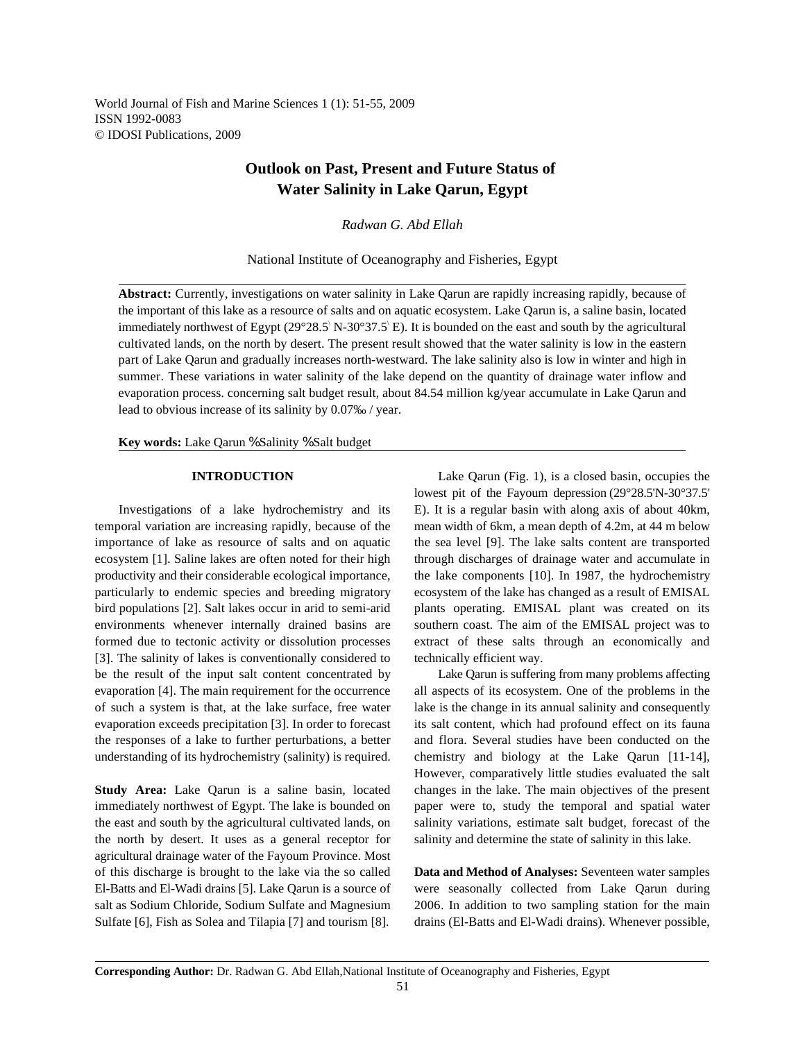# **Outlook on Past, Present and Future Status of Water Salinity in Lake Qarun, Egypt**

*Radwan G. Abd Ellah*

National Institute of Oceanography and Fisheries, Egypt

**Abstract:** Currently, investigations on water salinity in Lake Qarun are rapidly increasing rapidly, because of the important of this lake as a resource of salts and on aquatic ecosystem. Lake Qarun is, a saline basin, located immediately northwest of Egypt (29°28.5' N-30°37.5' E). It is bounded on the east and south by the agricultural cultivated lands, on the north by desert. The present result showed that the water salinity is low in the eastern part of Lake Qarun and gradually increases north-westward. The lake salinity also is low in winter and high in summer. These variations in water salinity of the lake depend on the quantity of drainage water inflow and evaporation process. concerning salt budget result, about 84.54 million kg/year accumulate in Lake Qarun and lead to obvious increase of its salinity by 0.07‰ / year.

**Key words:** Lake Qarun % Salinity % Salt budget

temporal variation are increasing rapidly, because of the mean width of 6km, a mean depth of 4.2m, at 44 m below importance of lake as resource of salts and on aquatic the sea level [9]. The lake salts content are transported ecosystem [1]. Saline lakes are often noted for their high through discharges of drainage water and accumulate in productivity and their considerable ecological importance, the lake components [10]. In 1987, the hydrochemistry particularly to endemic species and breeding migratory ecosystem of the lake has changed as a result of EMISAL bird populations [2]. Salt lakes occur in arid to semi-arid plants operating. EMISAL plant was created on its environments whenever internally drained basins are southern coast. The aim of the EMISAL project was to formed due to tectonic activity or dissolution processes extract of these salts through an economically and [3]. The salinity of lakes is conventionally considered to technically efficient way. be the result of the input salt content concentrated by Lake Qarun is suffering from many problems affecting evaporation [4]. The main requirement for the occurrence all aspects of its ecosystem. One of the problems in the of such a system is that, at the lake surface, free water lake is the change in its annual salinity and consequently evaporation exceeds precipitation [3]. In order to forecast its salt content, which had profound effect on its fauna the responses of a lake to further perturbations, a better and flora. Several studies have been conducted on the understanding of its hydrochemistry (salinity) is required. chemistry and biology at the Lake Qarun [11-14],

**Study Area:** Lake Qarun is a saline basin, located changes in the lake. The main objectives of the present immediately northwest of Egypt. The lake is bounded on paper were to, study the temporal and spatial water the east and south by the agricultural cultivated lands, on salinity variations, estimate salt budget, forecast of the the north by desert. It uses as a general receptor for salinity and determine the state of salinity in this lake. agricultural drainage water of the Fayoum Province. Most of this discharge is brought to the lake via the so called **Data and Method of Analyses:** Seventeen water samples El-Batts and El-Wadi drains [5]. Lake Qarun is a source of were seasonally collected from Lake Qarun during salt as Sodium Chloride, Sodium Sulfate and Magnesium 2006. In addition to two sampling station for the main Sulfate [6], Fish as Solea and Tilapia [7] and tourism [8]. drains (El-Batts and El-Wadi drains). Whenever possible,

**INTRODUCTION** Lake Qarun (Fig. 1), is a closed basin, occupies the Investigations of a lake hydrochemistry and its E). It is a regular basin with along axis of about 40km, lowest pit of the Fayoum depression (29°28.5'N-30°37.5'

However, comparatively little studies evaluated the salt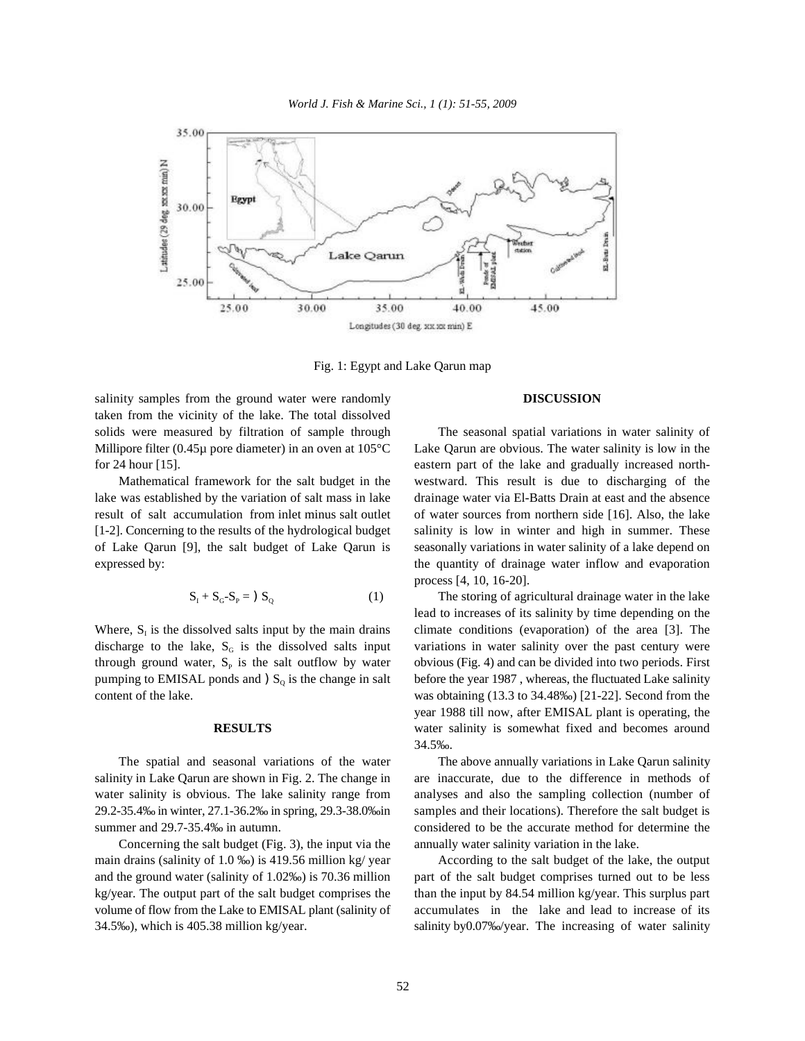

Fig. 1: Egypt and Lake Qarun map

salinity samples from the ground water were randomly **DISCUSSION** taken from the vicinity of the lake. The total dissolved solids were measured by filtration of sample through The seasonal spatial variations in water salinity of Millipore filter (0.45µ pore diameter) in an oven at 105°C Lake Qarun are obvious. The water salinity is low in the for 24 hour [15]. eastern part of the lake and gradually increased north-

lake was established by the variation of salt mass in lake drainage water via El-Batts Drain at east and the absence result of salt accumulation from inlet minus salt outlet of water sources from northern side [16]. Also, the lake [1-2]. Concerning to the results of the hydrological budget salinity is low in winter and high in summer. These of Lake Qarun [9], the salt budget of Lake Qarun is seasonally variations in water salinity of a lake depend on expressed by: the quantity of drainage water inflow and evaporation

$$
S_{I} + S_{G} - S_{P} = S_{Q}
$$
 (1)

Where,  $S<sub>1</sub>$  is the dissolved salts input by the main drains discharge to the lake,  $S_G$  is the dissolved salts input variations in water salinity over the past century were through ground water,  $S_P$  is the salt outflow by water obvious (Fig. 4) and can be divided into two periods. First pumping to EMISAL ponds and  $S<sub>Q</sub>$  is the change in salt before the year 1987, whereas, the fluctuated Lake salinity content of the lake. was obtaining (13.3 to 34.48‰) [21-22]. Second from the

salinity in Lake Qarun are shown in Fig. 2. The change in are inaccurate, due to the difference in methods of water salinity is obvious. The lake salinity range from analyses and also the sampling collection (number of 29.2-35.4‰ in winter, 27.1-36.2‰ in spring, 29.3-38.0‰in samples and their locations). Therefore the salt budget is summer and 29.7-35.4‰ in autumn. considered to be the accurate method for determine the

Concerning the salt budget (Fig. 3), the input via the annually water salinity variation in the lake. main drains (salinity of 1.0 ‰) is 419.56 million kg/ year According to the salt budget of the lake, the output and the ground water (salinity of 1.02‰) is 70.36 million part of the salt budget comprises turned out to be less kg/year. The output part of the salt budget comprises the than the input by 84.54 million kg/year. This surplus part volume of flow from the Lake to EMISAL plant (salinity of accumulates in the lake and lead to increase of its 34.5‰), which is 405.38 million kg/year. salinity by0.07‰/year. The increasing of water salinity

Mathematical framework for the salt budget in the westward. This result is due to discharging of the process [4, 10, 16-20].

> The storing of agricultural drainage water in the lake climate conditions (evaporation) of the area [3]. The **RESULTS** water salinity is somewhat fixed and becomes around lead to increases of its salinity by time depending on the year 1988 till now, after EMISAL plant is operating, the 34.5‰.

The spatial and seasonal variations of the water The above annually variations in Lake Qarun salinity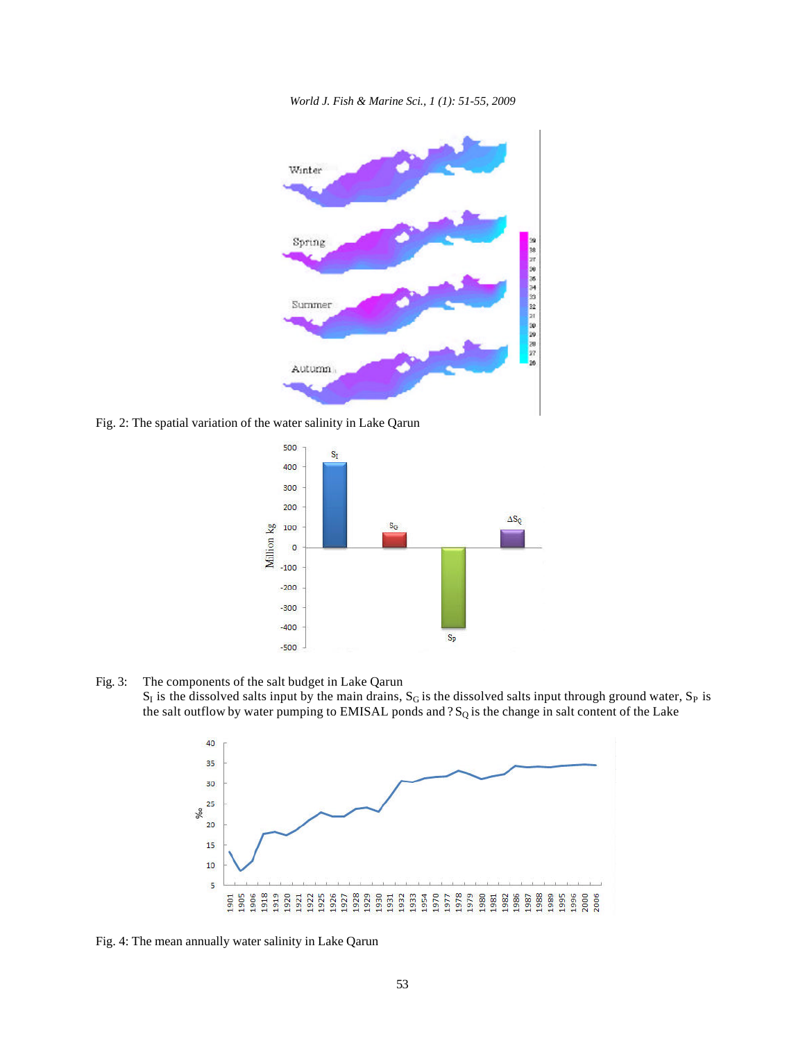*World J. Fish & Marine Sci., 1 (1): 51-55, 2009*



Fig. 2: The spatial variation of the water salinity in Lake Qarun



Fig. 3: The components of the salt budget in Lake Qarun

 $S_1$  is the dissolved salts input by the main drains,  $S_G$  is the dissolved salts input through ground water,  $S_P$  is the salt outflow by water pumping to EMISAL ponds and  $?S_Q$  is the change in salt content of the Lake



Fig. 4: The mean annually water salinity in Lake Qarun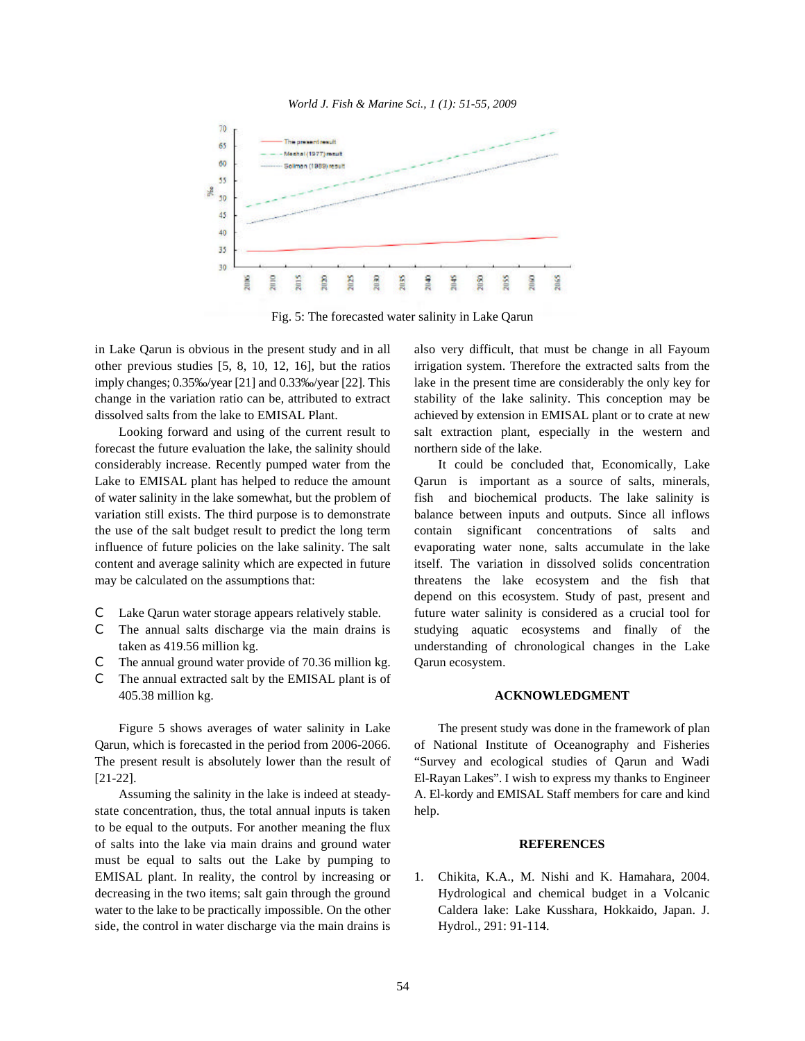



Fig. 5: The forecasted water salinity in Lake Qarun

other previous studies [5, 8, 10, 12, 16], but the ratios irrigation system. Therefore the extracted salts from the imply changes; 0.35‰/year [21] and 0.33‰/year [22]. This lake in the present time are considerably the only key for change in the variation ratio can be, attributed to extract stability of the lake salinity. This conception may be dissolved salts from the lake to EMISAL Plant.  $\blacksquare$  achieved by extension in EMISAL plant or to crate at new

forecast the future evaluation the lake, the salinity should northern side of the lake. considerably increase. Recently pumped water from the It could be concluded that, Economically, Lake Lake to EMISAL plant has helped to reduce the amount Qarun is important as a source of salts, minerals, of water salinity in the lake somewhat, but the problem of fish and biochemical products. The lake salinity is variation still exists. The third purpose is to demonstrate balance between inputs and outputs. Since all inflows the use of the salt budget result to predict the long term contain significant concentrations of salts and influence of future policies on the lake salinity. The salt evaporating water none, salts accumulate in the lake content and average salinity which are expected in future itself. The variation in dissolved solids concentration may be calculated on the assumptions that: threatens the lake ecosystem and the fish that

- 
- 
- $\mathcal{C}$  The annual ground water provide of 70.36 million kg. Qarun ecosystem.
- C The annual extracted salt by the EMISAL plant is of 405.38 million kg. **ACKNOWLEDGMENT**

Qarun, which is forecasted in the period from 2006-2066. of National Institute of Oceanography and Fisheries The present result is absolutely lower than the result of "Survey and ecological studies of Qarun and Wadi [21-22]. El-Rayan Lakes". I wish to express my thanks to Engineer

state concentration, thus, the total annual inputs is taken help. to be equal to the outputs. For another meaning the flux of salts into the lake via main drains and ground water **REFERENCES** must be equal to salts out the Lake by pumping to EMISAL plant. In reality, the control by increasing or 1. Chikita, K.A., M. Nishi and K. Hamahara, 2004. side, the control in water discharge via the main drains is Hydrol., 291: 91-114.

in Lake Qarun is obvious in the present study and in all also very difficult, that must be change in all Fayoum Looking forward and using of the current result to salt extraction plant, especially in the western and

C Lake Qarun water storage appears relatively stable. future water salinity is considered as a crucial tool for C The annual salts discharge via the main drains is studying aquatic ecosystems and finally of the taken as 419.56 million kg. understanding of chronological changes in the Lake depend on this ecosystem. Study of past, present and

Figure 5 shows averages of water salinity in Lake The present study was done in the framework of plan Assuming the salinity in the lake is indeed at steady- A. El-kordy and EMISAL Staff members for care and kind

decreasing in the two items; salt gain through the ground Hydrological and chemical budget in a Volcanic water to the lake to be practically impossible. On the other Caldera lake: Lake Kusshara, Hokkaido, Japan. J.